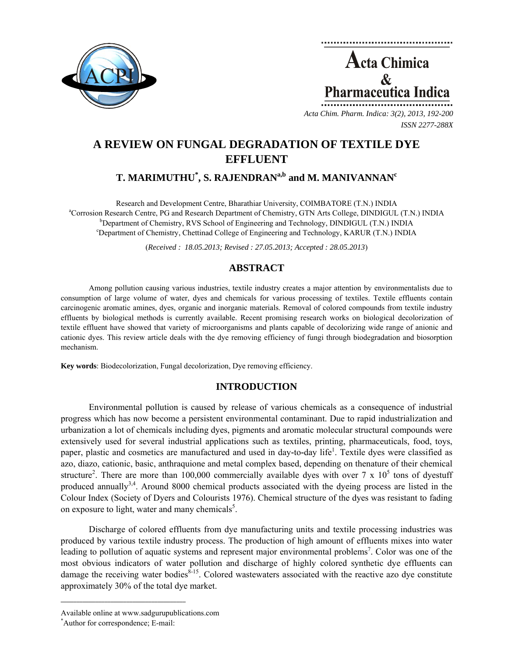



*Acta Chim. Pharm. Indica: 3(2), 2013, 192-200 ISSN 2277-288X*

# **A REVIEW ON FUNGAL DEGRADATION OF TEXTILE DYE EFFLUENT**

# $\mathbf{T}.$  MARIMUTHU $^{*}$ , S. RAJENDRAN $^{\mathrm{a,b}}$  and M. MANIVANNAN $^{\mathrm{c}}$

Research and Development Centre, Bharathiar University, COIMBATORE (T.N.) INDIA a Corrosion Research Centre, PG and Research Department of Chemistry, GTN Arts College, DINDIGUL (T.N.) INDIA b  $b$ Department of Chemistry, RVS School of Engineering and Technology, DINDIGUL (T.N.) INDIA c Department of Chemistry, Chettinad College of Engineering and Technology, KARUR (T.N.) INDIA

(*Received : 18.05.2013; Revised : 27.05.2013; Accepted : 28.05.2013*)

# **ABSTRACT**

Among pollution causing various industries, textile industry creates a major attention by environmentalists due to consumption of large volume of water, dyes and chemicals for various processing of textiles. Textile effluents contain carcinogenic aromatic amines, dyes, organic and inorganic materials. Removal of colored compounds from textile industry effluents by biological methods is currently available. Recent promising research works on biological decolorization of textile effluent have showed that variety of microorganisms and plants capable of decolorizing wide range of anionic and cationic dyes. This review article deals with the dye removing efficiency of fungi through biodegradation and biosorption mechanism.

**Key words**: Biodecolorization, Fungal decolorization, Dye removing efficiency.

# **INTRODUCTION**

Environmental pollution is caused by release of various chemicals as a consequence of industrial progress which has now become a persistent environmental contaminant. Due to rapid industrialization and urbanization a lot of chemicals including dyes, pigments and aromatic molecular structural compounds were extensively used for several industrial applications such as textiles, printing, pharmaceuticals, food, toys, paper, plastic and cosmetics are manufactured and used in day-to-day life<sup>1</sup>. Textile dyes were classified as azo, diazo, cationic, basic, anthraquione and metal complex based, depending on thenature of their chemical structure<sup>2</sup>. There are more than 100,000 commercially available dyes with over 7 x  $10<sup>5</sup>$  tons of dyestuff produced annually<sup>3,4</sup>. Around 8000 chemical products associated with the dyeing process are listed in the Colour Index (Society of Dyers and Colourists 1976). Chemical structure of the dyes was resistant to fading on exposure to light, water and many chemicals<sup>5</sup>.

Discharge of colored effluents from dye manufacturing units and textile processing industries was produced by various textile industry process. The production of high amount of effluents mixes into water leading to pollution of aquatic systems and represent major environmental problems<sup>7</sup>. Color was one of the most obvious indicators of water pollution and discharge of highly colored synthetic dye effluents can damage the receiving water bodies $8-15$ . Colored wastewaters associated with the reactive azo dye constitute approximately 30% of the total dye market.

**\_\_\_\_\_\_\_\_\_\_\_\_\_\_\_\_\_\_\_\_\_\_\_\_\_\_\_\_\_\_\_\_\_\_\_\_\_\_\_\_**

Available online at www.sadgurupublications.com \*

Author for correspondence; E-mail: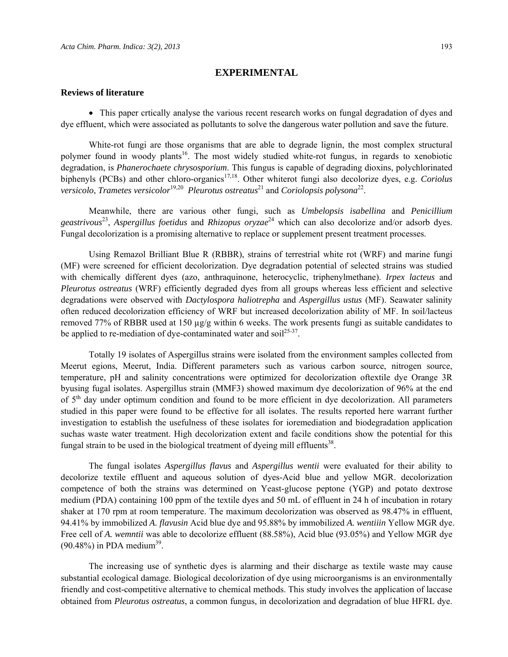#### **EXPERIMENTAL**

#### **Reviews of literature**

• This paper crtically analyse the various recent research works on fungal degradation of dyes and dye effluent, which were associated as pollutants to solve the dangerous water pollution and save the future.

White-rot fungi are those organisms that are able to degrade lignin, the most complex structural polymer found in woody plants<sup>16</sup>. The most widely studied white-rot fungus, in regards to xenobiotic degradation, is *Phanerochaete chrysosporium*. This fungus is capable of degrading dioxins, polychlorinated biphenyls (PCBs) and other chloro-organics<sup>17,18</sup>. Other whiterot fungi also decolorize dyes, e.g. *Coriolus versicolo, Trametes versicolor*<sup>19,20</sup> *Pleurotus ostreatus*<sup>21</sup> and *Coriolopsis polysona*<sup>22</sup>.

Meanwhile, there are various other fungi, such as *Umbelopsis isabellina* and *Penicillium geastrivous*23, *Aspergillus foetidus* and *Rhizopus oryzae*24 which can also decolorize and/or adsorb dyes. Fungal decolorization is a promising alternative to replace or supplement present treatment processes.

Using Remazol Brilliant Blue R (RBBR), strains of terrestrial white rot (WRF) and marine fungi (MF) were screened for efficient decolorization. Dye degradation potential of selected strains was studied with chemically different dyes (azo, anthraquinone, heterocyclic, triphenylmethane). *Irpex lacteus* and *Pleurotus ostreatus* (WRF) efficiently degraded dyes from all groups whereas less efficient and selective degradations were observed with *Dactylospora haliotrepha* and *Aspergillus ustus* (MF). Seawater salinity often reduced decolorization efficiency of WRF but increased decolorization ability of MF. In soil/lacteus removed 77% of RBBR used at 150 µg/g within 6 weeks. The work presents fungi as suitable candidates to be applied to re-mediation of dye-contaminated water and soil<sup>25-37</sup>.

Totally 19 isolates of Aspergillus strains were isolated from the environment samples collected from Meerut egions, Meerut, India. Different parameters such as various carbon source, nitrogen source, temperature, pH and salinity concentrations were optimized for decolorization oftextile dye Orange 3R byusing fugal isolates. Aspergillus strain (MMF3) showed maximum dye decolorization of 96% at the end of  $5<sup>th</sup>$  day under optimum condition and found to be more efficient in dye decolorization. All parameters studied in this paper were found to be effective for all isolates. The results reported here warrant further investigation to establish the usefulness of these isolates for ioremediation and biodegradation application suchas waste water treatment. High decolorization extent and facile conditions show the potential for this fungal strain to be used in the biological treatment of dyeing mill effluents<sup>38</sup>.

The fungal isolates *Aspergillus flavus* and *Aspergillus wentii* were evaluated for their ability to decolorize textile effluent and aqueous solution of dyes-Acid blue and yellow MGR. decolorization competence of both the strains was determined on Yeast-glucose peptone (YGP) and potato dextrose medium (PDA) containing 100 ppm of the textile dyes and 50 mL of effluent in 24 h of incubation in rotary shaker at 170 rpm at room temperature. The maximum decolorization was observed as 98.47% in effluent, 94.41% by immobilized *A. flavusin* Acid blue dye and 95.88% by immobilized *A. wentiiin* Yellow MGR dye. Free cell of *A. wemntii* was able to decolorize effluent (88.58%), Acid blue (93.05%) and Yellow MGR dye  $(90.48\%)$  in PDA medium<sup>39</sup>.

The increasing use of synthetic dyes is alarming and their discharge as textile waste may cause substantial ecological damage. Biological decolorization of dye using microorganisms is an environmentally friendly and cost-competitive alternative to chemical methods. This study involves the application of laccase obtained from *Pleurotus ostreatus*, a common fungus, in decolorization and degradation of blue HFRL dye.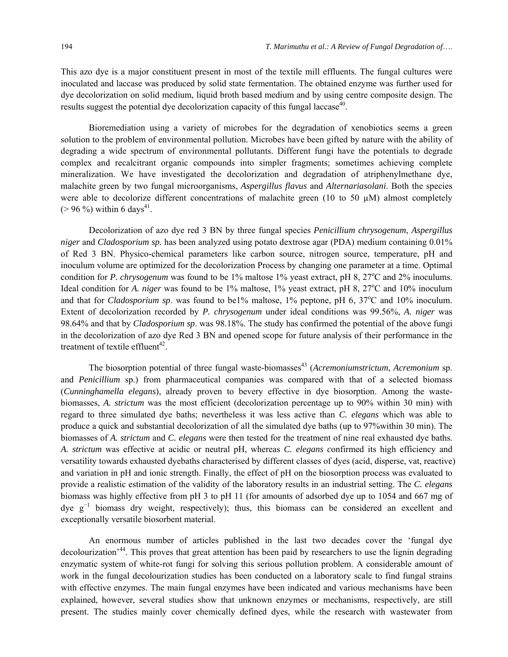This azo dye is a major constituent present in most of the textile mill effluents. The fungal cultures were inoculated and laccase was produced by solid state fermentation. The obtained enzyme was further used for dye decolorization on solid medium, liquid broth based medium and by using centre composite design. The results suggest the potential dye decolorization capacity of this fungal laccase<sup>40</sup>.

Bioremediation using a variety of microbes for the degradation of xenobiotics seems a green solution to the problem of environmental pollution. Microbes have been gifted by nature with the ability of degrading a wide spectrum of environmental pollutants. Different fungi have the potentials to degrade complex and recalcitrant organic compounds into simpler fragments; sometimes achieving complete mineralization. We have investigated the decolorization and degradation of atriphenylmethane dye, malachite green by two fungal microorganisms, *Aspergillus flavus* and *Alternariasolani*. Both the species were able to decolorize different concentrations of malachite green (10 to 50  $\mu$ M) almost completely  $(> 96\%)$  within 6 days<sup>41</sup>.

Decolorization of azo dye red 3 BN by three fungal species *Penicillium chrysogenum*, *Aspergillus niger* and *Cladosporium sp.* has been analyzed using potato dextrose agar (PDA) medium containing 0.01% of Red 3 BN. Physico-chemical parameters like carbon source, nitrogen source, temperature, pH and inoculum volume are optimized for the decolorization Process by changing one parameter at a time. Optimal condition for *P. chrysogenum* was found to be 1% maltose 1% yeast extract, pH 8, 27<sup>o</sup>C and 2% inoculums. Ideal condition for *A. niger* was found to be 1% maltose, 1% yeast extract, pH 8, 27°C and 10% inoculum and that for *Cladosporium sp*. was found to be1% maltose, 1% peptone, pH 6, 37°C and 10% inoculum. Extent of decolorization recorded by *P. chrysogenum* under ideal conditions was 99.56%, *A. niger* was 98.64% and that by *Cladosporium sp*. was 98.18%. The study has confirmed the potential of the above fungi in the decolorization of azo dye Red 3 BN and opened scope for future analysis of their performance in the treatment of textile effluent<sup>42</sup>.

The biosorption potential of three fungal waste-biomasses<sup>43</sup> (*Acremoniumstrictum*, *Acremonium* sp. and *Penicillium* sp.) from pharmaceutical companies was compared with that of a selected biomass (*Cunninghamella elegans*), already proven to bevery effective in dye biosorption. Among the wastebiomasses, *A. strictum* was the most efficient (decolorization percentage up to 90% within 30 min) with regard to three simulated dye baths; nevertheless it was less active than *C. elegans* which was able to produce a quick and substantial decolorization of all the simulated dye baths (up to 97%within 30 min). The biomasses of *A. strictum* and *C. elegans* were then tested for the treatment of nine real exhausted dye baths. *A. strictum* was effective at acidic or neutral pH, whereas *C. elegans c*onfirmed its high efficiency and versatility towards exhausted dyebaths characterised by different classes of dyes (acid, disperse, vat, reactive) and variation in pH and ionic strength. Finally, the effect of pH on the biosorption process was evaluated to provide a realistic estimation of the validity of the laboratory results in an industrial setting. The *C. elegans*  biomass was highly effective from pH 3 to pH 11 (for amounts of adsorbed dye up to 1054 and 667 mg of dye g<sup>−</sup><sup>1</sup> biomass dry weight, respectively); thus, this biomass can be considered an excellent and exceptionally versatile biosorbent material.

An enormous number of articles published in the last two decades cover the 'fungal dye decolourization<sup>344</sup>. This proves that great attention has been paid by researchers to use the lignin degrading enzymatic system of white-rot fungi for solving this serious pollution problem. A considerable amount of work in the fungal decolourization studies has been conducted on a laboratory scale to find fungal strains with effective enzymes. The main fungal enzymes have been indicated and various mechanisms have been explained, however, several studies show that unknown enzymes or mechanisms, respectively, are still present. The studies mainly cover chemically defined dyes, while the research with wastewater from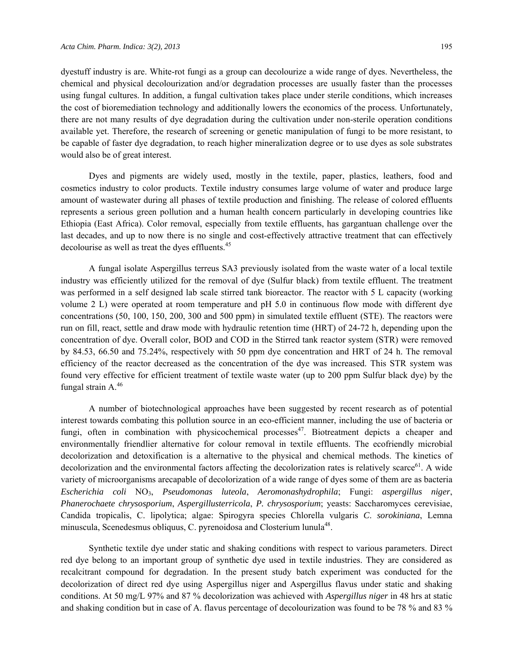dyestuff industry is are. White-rot fungi as a group can decolourize a wide range of dyes. Nevertheless, the chemical and physical decolourization and/or degradation processes are usually faster than the processes using fungal cultures. In addition, a fungal cultivation takes place under sterile conditions, which increases the cost of bioremediation technology and additionally lowers the economics of the process. Unfortunately, there are not many results of dye degradation during the cultivation under non-sterile operation conditions available yet. Therefore, the research of screening or genetic manipulation of fungi to be more resistant, to be capable of faster dye degradation, to reach higher mineralization degree or to use dyes as sole substrates would also be of great interest.

Dyes and pigments are widely used, mostly in the textile, paper, plastics, leathers, food and cosmetics industry to color products. Textile industry consumes large volume of water and produce large amount of wastewater during all phases of textile production and finishing. The release of colored effluents represents a serious green pollution and a human health concern particularly in developing countries like Ethiopia (East Africa). Color removal, especially from textile effluents, has gargantuan challenge over the last decades, and up to now there is no single and cost-effectively attractive treatment that can effectively decolourise as well as treat the dyes effluents.<sup>45</sup>

A fungal isolate Aspergillus terreus SA3 previously isolated from the waste water of a local textile industry was efficiently utilized for the removal of dye (Sulfur black) from textile effluent. The treatment was performed in a self designed lab scale stirred tank bioreactor. The reactor with 5 L capacity (working volume 2 L) were operated at room temperature and pH 5.0 in continuous flow mode with different dye concentrations (50, 100, 150, 200, 300 and 500 ppm) in simulated textile effluent (STE). The reactors were run on fill, react, settle and draw mode with hydraulic retention time (HRT) of 24-72 h, depending upon the concentration of dye. Overall color, BOD and COD in the Stirred tank reactor system (STR) were removed by 84.53, 66.50 and 75.24%, respectively with 50 ppm dye concentration and HRT of 24 h. The removal efficiency of the reactor decreased as the concentration of the dye was increased. This STR system was found very effective for efficient treatment of textile waste water (up to 200 ppm Sulfur black dye) by the fungal strain  $A^{46}$ 

A number of biotechnological approaches have been suggested by recent research as of potential interest towards combating this pollution source in an eco-efficient manner, including the use of bacteria or fungi, often in combination with physicochemical processes<sup>47</sup>. Biotreatment depicts a cheaper and environmentally friendlier alternative for colour removal in textile effluents. The ecofriendly microbial decolorization and detoxification is a alternative to the physical and chemical methods. The kinetics of decolorization and the environmental factors affecting the decolorization rates is relatively scarce<sup>61</sup>. A wide variety of microorganisms arecapable of decolorization of a wide range of dyes some of them are as bacteria *Escherichia coli* NO3, *Pseudomonas luteola*, *Aeromonashydrophila*; Fungi: *aspergillus niger*, *Phanerochaete chrysosporium*, *Aspergillusterricola*, *P. chrysosporium*; yeasts: Saccharomyces cerevisiae, Candida tropicalis, C. lipolytica; algae: Spirogyra species Chlorella vulgaris *C*. *sorokiniana*, Lemna minuscula, Scenedesmus obliquus, C. pyrenoidosa and Closterium lunula<sup>48</sup>.

Synthetic textile dye under static and shaking conditions with respect to various parameters. Direct red dye belong to an important group of synthetic dye used in textile industries. They are considered as recalcitrant compound for degradation. In the present study batch experiment was conducted for the decolorization of direct red dye using Aspergillus niger and Aspergillus flavus under static and shaking conditions. At 50 mg/L 97% and 87 % decolorization was achieved with *Aspergillus niger* in 48 hrs at static and shaking condition but in case of A. flavus percentage of decolourization was found to be 78 % and 83 %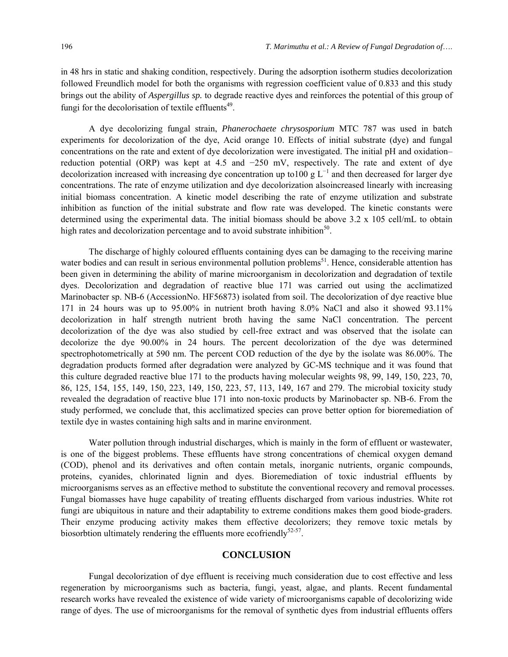in 48 hrs in static and shaking condition, respectively. During the adsorption isotherm studies decolorization followed Freundlich model for both the organisms with regression coefficient value of 0.833 and this study brings out the ability of *Aspergillus sp.* to degrade reactive dyes and reinforces the potential of this group of fungi for the decolorisation of textile effluents<sup> $49$ </sup>.

A dye decolorizing fungal strain, *Phanerochaete chrysosporium* MTC 787 was used in batch experiments for decolorization of the dye, Acid orange 10. Effects of initial substrate (dye) and fungal concentrations on the rate and extent of dye decolorization were investigated. The initial pH and oxidation– reduction potential (ORP) was kept at 4.5 and −250 mV, respectively. The rate and extent of dye decolorization increased with increasing dye concentration up to100 g  $L^{-1}$  and then decreased for larger dye concentrations. The rate of enzyme utilization and dye decolorization alsoincreased linearly with increasing initial biomass concentration. A kinetic model describing the rate of enzyme utilization and substrate inhibition as function of the initial substrate and flow rate was developed. The kinetic constants were determined using the experimental data. The initial biomass should be above 3.2 x 105 cell/mL to obtain high rates and decolorization percentage and to avoid substrate inhibition<sup>50</sup>.

The discharge of highly coloured effluents containing dyes can be damaging to the receiving marine water bodies and can result in serious environmental pollution problems<sup>51</sup>. Hence, considerable attention has been given in determining the ability of marine microorganism in decolorization and degradation of textile dyes. Decolorization and degradation of reactive blue 171 was carried out using the acclimatized Marinobacter sp. NB-6 (AccessionNo. HF56873) isolated from soil. The decolorization of dye reactive blue 171 in 24 hours was up to 95.00% in nutrient broth having 8.0% NaCl and also it showed 93.11% decolorization in half strength nutrient broth having the same NaCl concentration. The percent decolorization of the dye was also studied by cell-free extract and was observed that the isolate can decolorize the dye 90.00% in 24 hours. The percent decolorization of the dye was determined spectrophotometrically at 590 nm. The percent COD reduction of the dye by the isolate was 86.00%. The degradation products formed after degradation were analyzed by GC-MS technique and it was found that this culture degraded reactive blue 171 to the products having molecular weights 98, 99, 149, 150, 223, 70, 86, 125, 154, 155, 149, 150, 223, 149, 150, 223, 57, 113, 149, 167 and 279. The microbial toxicity study revealed the degradation of reactive blue 171 into non-toxic products by Marinobacter sp. NB-6. From the study performed, we conclude that, this acclimatized species can prove better option for bioremediation of textile dye in wastes containing high salts and in marine environment.

Water pollution through industrial discharges, which is mainly in the form of effluent or wastewater, is one of the biggest problems. These effluents have strong concentrations of chemical oxygen demand (COD), phenol and its derivatives and often contain metals, inorganic nutrients, organic compounds, proteins, cyanides, chlorinated lignin and dyes. Bioremediation of toxic industrial effluents by microorganisms serves as an effective method to substitute the conventional recovery and removal processes. Fungal biomasses have huge capability of treating effluents discharged from various industries. White rot fungi are ubiquitous in nature and their adaptability to extreme conditions makes them good biode-graders. Their enzyme producing activity makes them effective decolorizers; they remove toxic metals by biosorbtion ultimately rendering the effluents more ecofriendly $52-57$ .

### **CONCLUSION**

Fungal decolorization of dye effluent is receiving much consideration due to cost effective and less regeneration by microorganisms such as bacteria, fungi, yeast, algae, and plants. Recent fundamental research works have revealed the existence of wide variety of microorganisms capable of decolorizing wide range of dyes. The use of microorganisms for the removal of synthetic dyes from industrial effluents offers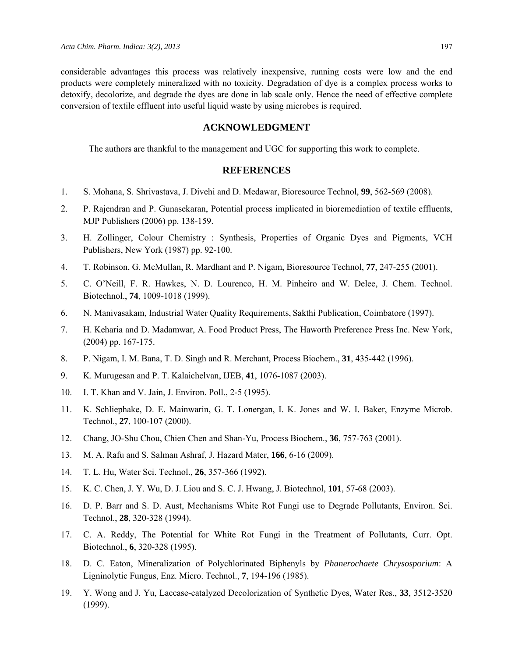considerable advantages this process was relatively inexpensive, running costs were low and the end products were completely mineralized with no toxicity. Degradation of dye is a complex process works to detoxify, decolorize, and degrade the dyes are done in lab scale only. Hence the need of effective complete conversion of textile effluent into useful liquid waste by using microbes is required.

### **ACKNOWLEDGMENT**

The authors are thankful to the management and UGC for supporting this work to complete.

### **REFERENCES**

- 1. S. Mohana, S. Shrivastava, J. Divehi and D. Medawar, Bioresource Technol, **99**, 562-569 (2008).
- 2. P. Rajendran and P. Gunasekaran, Potential process implicated in bioremediation of textile effluents, MJP Publishers (2006) pp. 138-159.
- 3. H. Zollinger, Colour Chemistry : Synthesis, Properties of Organic Dyes and Pigments, VCH Publishers, New York (1987) pp. 92-100.
- 4. T. Robinson, G. McMullan, R. Mardhant and P. Nigam, Bioresource Technol, **77**, 247-255 (2001).
- 5. C. O'Neill, F. R. Hawkes, N. D. Lourenco, H. M. Pinheiro and W. Delee, J. Chem. Technol. Biotechnol., **74**, 1009-1018 (1999).
- 6. N. Manivasakam, Industrial Water Quality Requirements, Sakthi Publication, Coimbatore (1997).
- 7. H. Keharia and D. Madamwar, A. Food Product Press, The Haworth Preference Press Inc. New York, (2004) pp. 167-175.
- 8. P. Nigam, I. M. Bana, T. D. Singh and R. Merchant, Process Biochem., **31**, 435-442 (1996).
- 9. K. Murugesan and P. T. Kalaichelvan, IJEB, **41**, 1076-1087 (2003).
- 10. I. T. Khan and V. Jain, J. Environ. Poll., 2-5 (1995).
- 11. K. Schliephake, D. E. Mainwarin, G. T. Lonergan, I. K. Jones and W. I. Baker, Enzyme Microb. Technol., **27**, 100-107 (2000).
- 12. Chang, JO-Shu Chou, Chien Chen and Shan-Yu, Process Biochem., **36**, 757-763 (2001).
- 13. M. A. Rafu and S. Salman Ashraf, J. Hazard Mater, **166**, 6-16 (2009).
- 14. T. L. Hu, Water Sci. Technol., **26**, 357-366 (1992).
- 15. K. C. Chen, J. Y. Wu, D. J. Liou and S. C. J. Hwang, J. Biotechnol, **101**, 57-68 (2003).
- 16. D. P. Barr and S. D. Aust, Mechanisms White Rot Fungi use to Degrade Pollutants, Environ. Sci. Technol., **28**, 320-328 (1994).
- 17. C. A. Reddy, The Potential for White Rot Fungi in the Treatment of Pollutants, Curr. Opt. Biotechnol., **6**, 320-328 (1995).
- 18. D. C. Eaton, Mineralization of Polychlorinated Biphenyls by *Phanerochaete Chrysosporium*: A Ligninolytic Fungus, Enz. Micro. Technol., **7**, 194-196 (1985).
- 19. Y. Wong and J. Yu, Laccase-catalyzed Decolorization of Synthetic Dyes, Water Res., **33**, 3512-3520 (1999).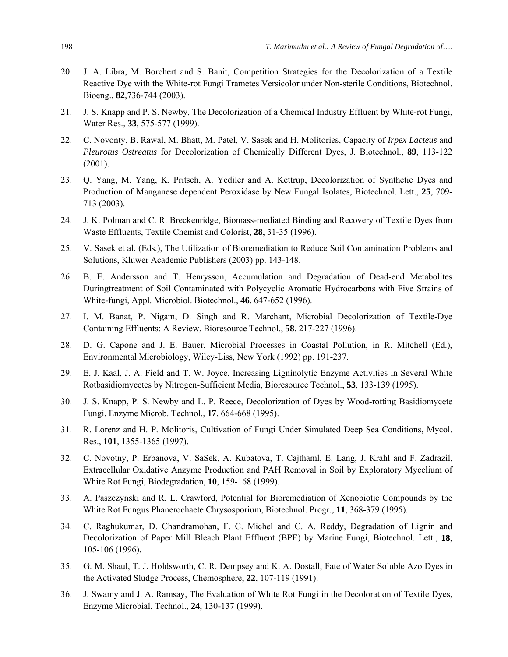- 20. J. A. Libra, M. Borchert and S. Banit, Competition Strategies for the Decolorization of a Textile Reactive Dye with the White-rot Fungi Trametes Versicolor under Non-sterile Conditions, Biotechnol. Bioeng., **82**,736-744 (2003).
- 21. J. S. Knapp and P. S. Newby, The Decolorization of a Chemical Industry Effluent by White-rot Fungi, Water Res., **33**, 575-577 (1999).
- 22. C. Novonty, B. Rawal, M. Bhatt, M. Patel, V. Sasek and H. Molitories, Capacity of *Irpex Lacteus* and *Pleurotus Ostreatus* for Decolorization of Chemically Different Dyes, J. Biotechnol., **89**, 113-122 (2001).
- 23. Q. Yang, M. Yang, K. Pritsch, A. Yediler and A. Kettrup, Decolorization of Synthetic Dyes and Production of Manganese dependent Peroxidase by New Fungal Isolates, Biotechnol. Lett., **25**, 709- 713 (2003).
- 24. J. K. Polman and C. R. Breckenridge, Biomass-mediated Binding and Recovery of Textile Dyes from Waste Effluents, Textile Chemist and Colorist, **28**, 31-35 (1996).
- 25. V. Sasek et al. (Eds.), The Utilization of Bioremediation to Reduce Soil Contamination Problems and Solutions, Kluwer Academic Publishers (2003) pp. 143-148.
- 26. B. E. Andersson and T. Henrysson, Accumulation and Degradation of Dead-end Metabolites Duringtreatment of Soil Contaminated with Polycyclic Aromatic Hydrocarbons with Five Strains of White-fungi, Appl. Microbiol. Biotechnol., **46**, 647-652 (1996).
- 27. I. M. Banat, P. Nigam, D. Singh and R. Marchant, Microbial Decolorization of Textile-Dye Containing Effluents: A Review, Bioresource Technol., **58**, 217-227 (1996).
- 28. D. G. Capone and J. E. Bauer, Microbial Processes in Coastal Pollution, in R. Mitchell (Ed.), Environmental Microbiology, Wiley-Liss, New York (1992) pp. 191-237.
- 29. E. J. Kaal, J. A. Field and T. W. Joyce, Increasing Ligninolytic Enzyme Activities in Several White Rotbasidiomycetes by Nitrogen-Sufficient Media, Bioresource Technol., **53**, 133-139 (1995).
- 30. J. S. Knapp, P. S. Newby and L. P. Reece, Decolorization of Dyes by Wood-rotting Basidiomycete Fungi, Enzyme Microb. Technol., **17**, 664-668 (1995).
- 31. R. Lorenz and H. P. Molitoris, Cultivation of Fungi Under Simulated Deep Sea Conditions, Mycol. Res., **101**, 1355-1365 (1997).
- 32. C. Novotny, P. Erbanova, V. SaSek, A. Kubatova, T. Cajthaml, E. Lang, J. Krahl and F. Zadrazil, Extracellular Oxidative Anzyme Production and PAH Removal in Soil by Exploratory Mycelium of White Rot Fungi, Biodegradation, **10**, 159-168 (1999).
- 33. A. Paszczynski and R. L. Crawford, Potential for Bioremediation of Xenobiotic Compounds by the White Rot Fungus Phanerochaete Chrysosporium, Biotechnol. Progr., **11**, 368-379 (1995).
- 34. C. Raghukumar, D. Chandramohan, F. C. Michel and C. A. Reddy, Degradation of Lignin and Decolorization of Paper Mill Bleach Plant Effluent (BPE) by Marine Fungi, Biotechnol. Lett., **18**, 105-106 (1996).
- 35. G. M. Shaul, T. J. Holdsworth, C. R. Dempsey and K. A. Dostall, Fate of Water Soluble Azo Dyes in the Activated Sludge Process, Chemosphere, **22**, 107-119 (1991).
- 36. J. Swamy and J. A. Ramsay, The Evaluation of White Rot Fungi in the Decoloration of Textile Dyes, Enzyme Microbial. Technol., **24**, 130-137 (1999).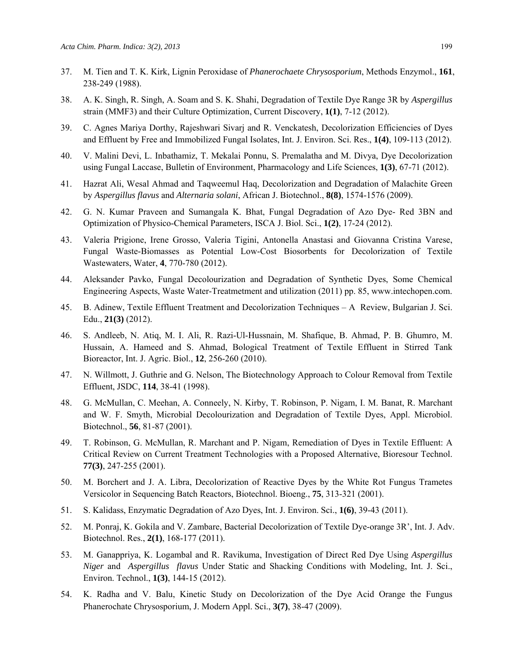- 37. M. Tien and T. K. Kirk, Lignin Peroxidase of *Phanerochaete Chrysosporium*, Methods Enzymol., **161**, 238-249 (1988).
- 38. A. K. Singh, R. Singh, A. Soam and S. K. Shahi, Degradation of Textile Dye Range 3R by *Aspergillus* strain (MMF3) and their Culture Optimization, Current Discovery, **1(1)**, 7-12 (2012).
- 39. C. Agnes Mariya Dorthy, Rajeshwari Sivarj and R. Venckatesh, Decolorization Efficiencies of Dyes and Effluent by Free and Immobilized Fungal Isolates, Int. J. Environ. Sci. Res., **1(4)**, 109-113 (2012).
- 40. V. Malini Devi, L. Inbathamiz, T. Mekalai Ponnu, S. Premalatha and M. Divya, Dye Decolorization using Fungal Laccase, Bulletin of Environment, Pharmacology and Life Sciences, **1(3)**, 67-71 (2012).
- 41. Hazrat Ali, Wesal Ahmad and Taqweemul Haq, Decolorization and Degradation of Malachite Green by *Aspergillus flavus* and *Alternaria solani*, African J. Biotechnol., **8(8)**, 1574-1576 (2009).
- 42. G. N. Kumar Praveen and Sumangala K. Bhat, Fungal Degradation of Azo Dye- Red 3BN and Optimization of Physico-Chemical Parameters, ISCA J. Biol. Sci., **1(2)**, 17-24 (2012).
- 43. Valeria Prigione, Irene Grosso, Valeria Tigini, Antonella Anastasi and Giovanna Cristina Varese, Fungal Waste-Biomasses as Potential Low-Cost Biosorbents for Decolorization of Textile Wastewaters, Water, **4**, 770-780 (2012).
- 44. Aleksander Pavko, Fungal Decolourization and Degradation of Synthetic Dyes, Some Chemical Engineering Aspects, Waste Water-Treatmetment and utilization (2011) pp. 85, www.intechopen.com.
- 45. B. Adinew, Textile Effluent Treatment and Decolorization Techniques A Review, Bulgarian J. Sci. Edu., **21(3)** (2012).
- 46. S. Andleeb, N. Atiq, M. I. Ali, R. Razi-Ul-Hussnain, M. Shafique, B. Ahmad, P. B. Ghumro, M. Hussain, A. Hameed and S. Ahmad, Bological Treatment of Textile Effluent in Stirred Tank Bioreactor, Int. J. Agric. Biol., **12**, 256-260 (2010).
- 47. N. Willmott, J. Guthrie and G. Nelson, The Biotechnology Approach to Colour Removal from Textile Effluent, JSDC, **114**, 38-41 (1998).
- 48. G. McMullan, C. Meehan, A. Conneely, N. Kirby, T. Robinson, P. Nigam, I. M. Banat, R. Marchant and W. F. Smyth, Microbial Decolourization and Degradation of Textile Dyes, Appl. Microbiol. Biotechnol., **56**, 81-87 (2001).
- 49. T. Robinson, G. McMullan, R. Marchant and P. Nigam, Remediation of Dyes in Textile Effluent: A Critical Review on Current Treatment Technologies with a Proposed Alternative, Bioresour Technol. **77(3)**, 247-255 (2001).
- 50. M. Borchert and J. A. Libra, Decolorization of Reactive Dyes by the White Rot Fungus Trametes Versicolor in Sequencing Batch Reactors, Biotechnol. Bioeng., **75**, 313-321 (2001).
- 51. S. Kalidass, Enzymatic Degradation of Azo Dyes, Int. J. Environ. Sci., **1(6)**, 39-43 (2011).
- 52. M. Ponraj, K. Gokila and V. Zambare, Bacterial Decolorization of Textile Dye-orange 3R', Int. J. Adv. Biotechnol. Res., **2(1)**, 168-177 (2011).
- 53. M. Ganappriya, K. Logambal and R. Ravikuma, Investigation of Direct Red Dye Using *Aspergillus Niger* and *Aspergillus flavus* Under Static and Shacking Conditions with Modeling, Int. J. Sci., Environ. Technol., **1(3)**, 144-15 (2012).
- 54. K. Radha and V. Balu, Kinetic Study on Decolorization of the Dye Acid Orange the Fungus Phanerochate Chrysosporium, J. Modern Appl. Sci., **3(7)**, 38-47 (2009).